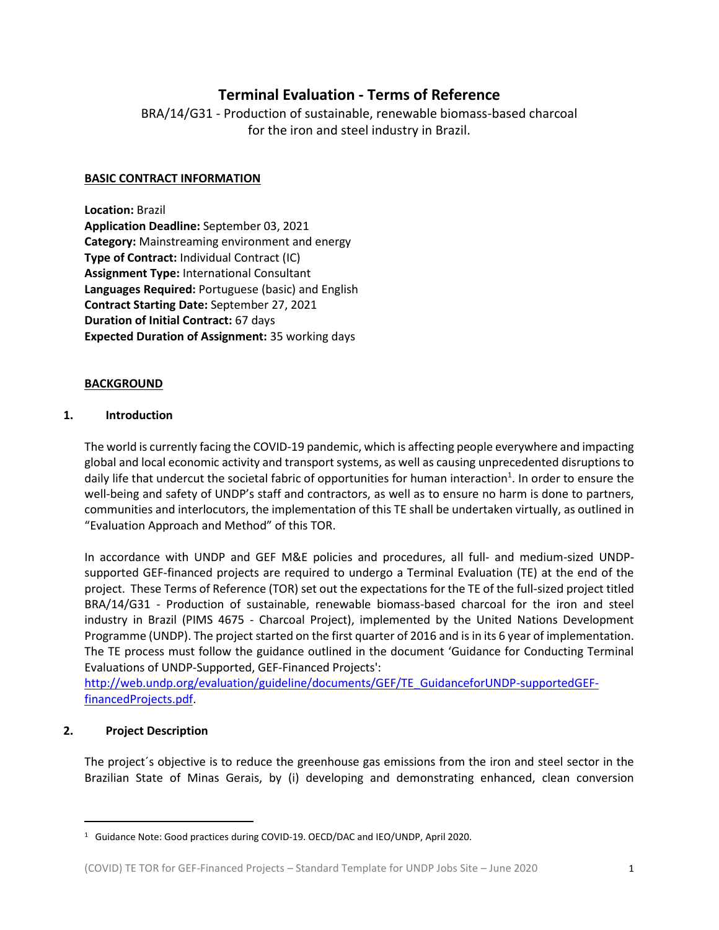# **Terminal Evaluation - Terms of Reference**

BRA/14/G31 - Production of sustainable, renewable biomass-based charcoal for the iron and steel industry in Brazil.

## **BASIC CONTRACT INFORMATION**

**Location:** Brazil **Application Deadline:** September 03, 2021 **Category:** Mainstreaming environment and energy **Type of Contract:** Individual Contract (IC) **Assignment Type:** International Consultant **Languages Required:** Portuguese (basic) and English **Contract Starting Date:** September 27, 2021 **Duration of Initial Contract:** 67 days **Expected Duration of Assignment:** 35 working days

## **BACKGROUND**

## **1. Introduction**

The world is currently facing the COVID-19 pandemic, which is affecting people everywhere and impacting global and local economic activity and transport systems, as well as causing unprecedented disruptions to daily life that undercut the societal fabric of opportunities for human interaction<sup>1</sup>. In order to ensure the well-being and safety of UNDP's staff and contractors, as well as to ensure no harm is done to partners, communities and interlocutors, the implementation of this TE shall be undertaken virtually, as outlined in "Evaluation Approach and Method" of this TOR.

In accordance with UNDP and GEF M&E policies and procedures, all full- and medium-sized UNDPsupported GEF-financed projects are required to undergo a Terminal Evaluation (TE) at the end of the project. These Terms of Reference (TOR) set out the expectations for the TE of the full-sized project titled BRA/14/G31 - Production of sustainable, renewable biomass-based charcoal for the iron and steel industry in Brazil (PIMS 4675 - Charcoal Project), implemented by the United Nations Development Programme (UNDP). The project started on the first quarter of 2016 and is in its 6 year of implementation. The TE process must follow the guidance outlined in the document 'Guidance for Conducting Terminal Evaluations of UNDP-Supported, GEF-Financed Projects':

[http://web.undp.org/evaluation/guideline/documents/GEF/TE\\_GuidanceforUNDP-supportedGEF](http://web.undp.org/evaluation/guideline/documents/GEF/TE_GuidanceforUNDP-supportedGEF-financedProjects.pdf)[financedProjects.pdf.](http://web.undp.org/evaluation/guideline/documents/GEF/TE_GuidanceforUNDP-supportedGEF-financedProjects.pdf)

### **2. Project Description**

The project´s objective is to reduce the greenhouse gas emissions from the iron and steel sector in the Brazilian State of Minas Gerais, by (i) developing and demonstrating enhanced, clean conversion

<sup>1</sup> Guidance Note: Good practices during COVID-19. OECD/DAC and IEO/UNDP, April 2020.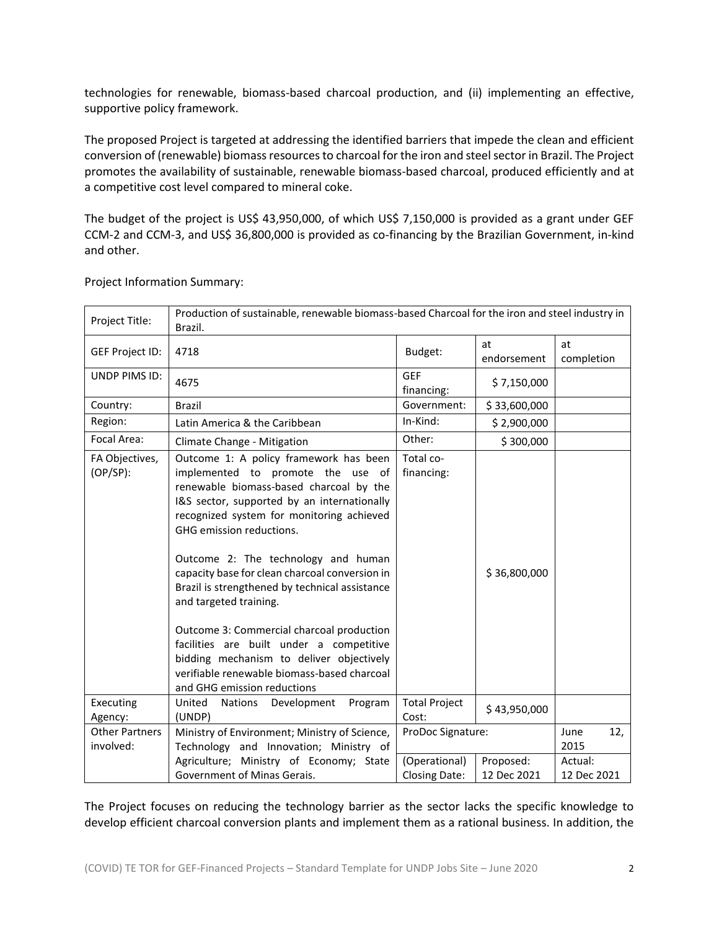technologies for renewable, biomass-based charcoal production, and (ii) implementing an effective, supportive policy framework.

The proposed Project is targeted at addressing the identified barriers that impede the clean and efficient conversion of (renewable) biomass resources to charcoal for the iron and steel sector in Brazil. The Project promotes the availability of sustainable, renewable biomass-based charcoal, produced efficiently and at a competitive cost level compared to mineral coke.

The budget of the project is US\$ 43,950,000, of which US\$ 7,150,000 is provided as a grant under GEF CCM-2 and CCM-3, and US\$ 36,800,000 is provided as co-financing by the Brazilian Government, in-kind and other.

| Project Title:                     | Production of sustainable, renewable biomass-based Charcoal for the iron and steel industry in<br>Brazil.                                                                                                                                                                                                                                                                                                                                                                                                                                                                                                                              |                          |                   |                     |
|------------------------------------|----------------------------------------------------------------------------------------------------------------------------------------------------------------------------------------------------------------------------------------------------------------------------------------------------------------------------------------------------------------------------------------------------------------------------------------------------------------------------------------------------------------------------------------------------------------------------------------------------------------------------------------|--------------------------|-------------------|---------------------|
| <b>GEF Project ID:</b>             | 4718                                                                                                                                                                                                                                                                                                                                                                                                                                                                                                                                                                                                                                   | Budget:                  | at<br>endorsement | at<br>completion    |
| UNDP PIMS ID:                      | 4675                                                                                                                                                                                                                                                                                                                                                                                                                                                                                                                                                                                                                                   | <b>GEF</b><br>financing: | \$7,150,000       |                     |
| Country:                           | <b>Brazil</b>                                                                                                                                                                                                                                                                                                                                                                                                                                                                                                                                                                                                                          | Government:              | \$33,600,000      |                     |
| Region:                            | Latin America & the Caribbean                                                                                                                                                                                                                                                                                                                                                                                                                                                                                                                                                                                                          | In-Kind:                 | \$2,900,000       |                     |
| Focal Area:                        | Climate Change - Mitigation                                                                                                                                                                                                                                                                                                                                                                                                                                                                                                                                                                                                            | Other:                   | \$300,000         |                     |
| FA Objectives,<br>$(OP/SP)$ :      | Outcome 1: A policy framework has been<br>implemented to promote the use of<br>renewable biomass-based charcoal by the<br>I&S sector, supported by an internationally<br>recognized system for monitoring achieved<br>GHG emission reductions.<br>Outcome 2: The technology and human<br>capacity base for clean charcoal conversion in<br>Brazil is strengthened by technical assistance<br>and targeted training.<br>Outcome 3: Commercial charcoal production<br>facilities are built under a competitive<br>bidding mechanism to deliver objectively<br>verifiable renewable biomass-based charcoal<br>and GHG emission reductions | Total co-<br>financing:  | \$36,800,000      |                     |
| Executing                          | United<br><b>Nations</b><br>Development<br>Program                                                                                                                                                                                                                                                                                                                                                                                                                                                                                                                                                                                     | <b>Total Project</b>     | \$43,950,000      |                     |
| Agency:                            | (UNDP)                                                                                                                                                                                                                                                                                                                                                                                                                                                                                                                                                                                                                                 | Cost:                    |                   |                     |
| <b>Other Partners</b><br>involved: | Ministry of Environment; Ministry of Science,<br>Technology and Innovation; Ministry of                                                                                                                                                                                                                                                                                                                                                                                                                                                                                                                                                | ProDoc Signature:        |                   | 12,<br>June<br>2015 |
|                                    | Agriculture; Ministry of Economy; State                                                                                                                                                                                                                                                                                                                                                                                                                                                                                                                                                                                                | (Operational)            | Proposed:         | Actual:             |
|                                    | Government of Minas Gerais.                                                                                                                                                                                                                                                                                                                                                                                                                                                                                                                                                                                                            | <b>Closing Date:</b>     | 12 Dec 2021       | 12 Dec 2021         |

Project Information Summary:

The Project focuses on reducing the technology barrier as the sector lacks the specific knowledge to develop efficient charcoal conversion plants and implement them as a rational business. In addition, the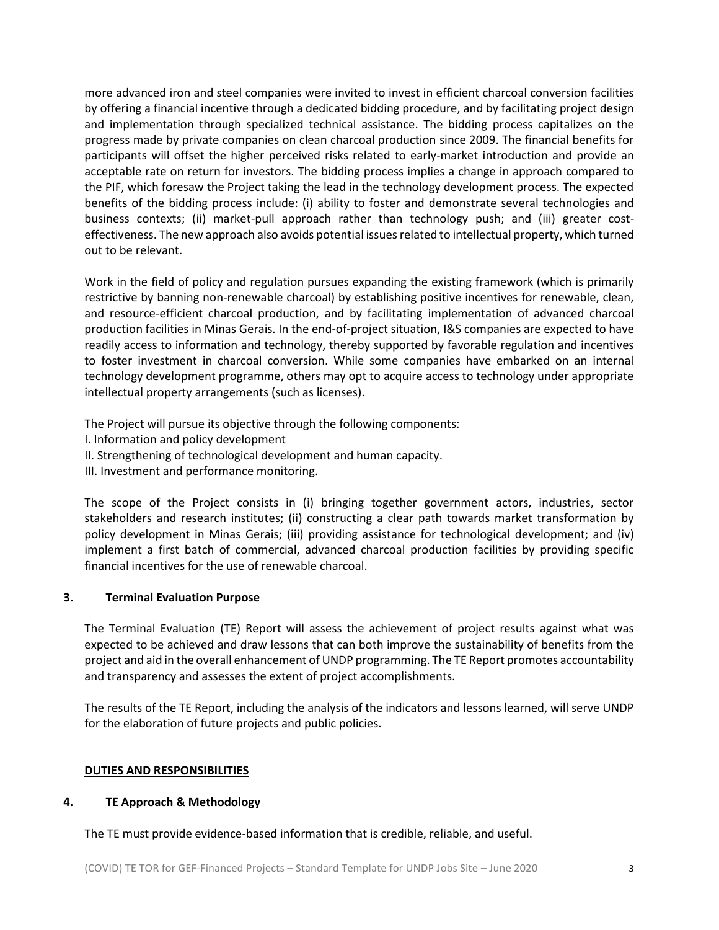more advanced iron and steel companies were invited to invest in efficient charcoal conversion facilities by offering a financial incentive through a dedicated bidding procedure, and by facilitating project design and implementation through specialized technical assistance. The bidding process capitalizes on the progress made by private companies on clean charcoal production since 2009. The financial benefits for participants will offset the higher perceived risks related to early-market introduction and provide an acceptable rate on return for investors. The bidding process implies a change in approach compared to the PIF, which foresaw the Project taking the lead in the technology development process. The expected benefits of the bidding process include: (i) ability to foster and demonstrate several technologies and business contexts; (ii) market-pull approach rather than technology push; and (iii) greater costeffectiveness. The new approach also avoids potential issues related to intellectual property, which turned out to be relevant.

Work in the field of policy and regulation pursues expanding the existing framework (which is primarily restrictive by banning non-renewable charcoal) by establishing positive incentives for renewable, clean, and resource-efficient charcoal production, and by facilitating implementation of advanced charcoal production facilities in Minas Gerais. In the end-of-project situation, I&S companies are expected to have readily access to information and technology, thereby supported by favorable regulation and incentives to foster investment in charcoal conversion. While some companies have embarked on an internal technology development programme, others may opt to acquire access to technology under appropriate intellectual property arrangements (such as licenses).

The Project will pursue its objective through the following components:

- I. Information and policy development
- II. Strengthening of technological development and human capacity.
- III. Investment and performance monitoring.

The scope of the Project consists in (i) bringing together government actors, industries, sector stakeholders and research institutes; (ii) constructing a clear path towards market transformation by policy development in Minas Gerais; (iii) providing assistance for technological development; and (iv) implement a first batch of commercial, advanced charcoal production facilities by providing specific financial incentives for the use of renewable charcoal.

# **3. Terminal Evaluation Purpose**

The Terminal Evaluation (TE) Report will assess the achievement of project results against what was expected to be achieved and draw lessons that can both improve the sustainability of benefits from the project and aid in the overall enhancement of UNDP programming. The TE Report promotes accountability and transparency and assesses the extent of project accomplishments.

The results of the TE Report, including the analysis of the indicators and lessons learned, will serve UNDP for the elaboration of future projects and public policies.

### **DUTIES AND RESPONSIBILITIES**

### **4. TE Approach & Methodology**

The TE must provide evidence-based information that is credible, reliable, and useful.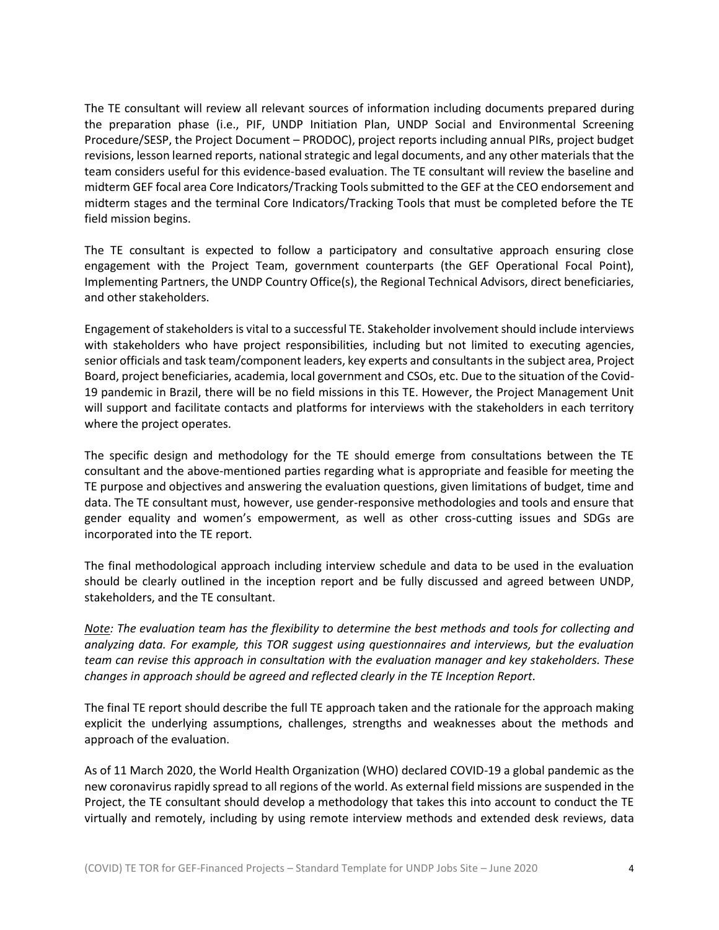The TE consultant will review all relevant sources of information including documents prepared during the preparation phase (i.e., PIF, UNDP Initiation Plan, UNDP Social and Environmental Screening Procedure/SESP, the Project Document – PRODOC), project reports including annual PIRs, project budget revisions, lesson learned reports, national strategic and legal documents, and any other materials that the team considers useful for this evidence-based evaluation. The TE consultant will review the baseline and midterm GEF focal area Core Indicators/Tracking Tools submitted to the GEF at the CEO endorsement and midterm stages and the terminal Core Indicators/Tracking Tools that must be completed before the TE field mission begins.

The TE consultant is expected to follow a participatory and consultative approach ensuring close engagement with the Project Team, government counterparts (the GEF Operational Focal Point), Implementing Partners, the UNDP Country Office(s), the Regional Technical Advisors, direct beneficiaries, and other stakeholders.

Engagement of stakeholders is vital to a successful TE. Stakeholder involvement should include interviews with stakeholders who have project responsibilities, including but not limited to executing agencies, senior officials and task team/component leaders, key experts and consultants in the subject area, Project Board, project beneficiaries, academia, local government and CSOs, etc. Due to the situation of the Covid-19 pandemic in Brazil, there will be no field missions in this TE. However, the Project Management Unit will support and facilitate contacts and platforms for interviews with the stakeholders in each territory where the project operates.

The specific design and methodology for the TE should emerge from consultations between the TE consultant and the above-mentioned parties regarding what is appropriate and feasible for meeting the TE purpose and objectives and answering the evaluation questions, given limitations of budget, time and data. The TE consultant must, however, use gender-responsive methodologies and tools and ensure that gender equality and women's empowerment, as well as other cross-cutting issues and SDGs are incorporated into the TE report.

The final methodological approach including interview schedule and data to be used in the evaluation should be clearly outlined in the inception report and be fully discussed and agreed between UNDP, stakeholders, and the TE consultant.

*Note: The evaluation team has the flexibility to determine the best methods and tools for collecting and analyzing data. For example, this TOR suggest using questionnaires and interviews, but the evaluation team can revise this approach in consultation with the evaluation manager and key stakeholders. These changes in approach should be agreed and reflected clearly in the TE Inception Report.* 

The final TE report should describe the full TE approach taken and the rationale for the approach making explicit the underlying assumptions, challenges, strengths and weaknesses about the methods and approach of the evaluation.

As of 11 March 2020, the World Health Organization (WHO) declared COVID-19 a global pandemic as the new coronavirus rapidly spread to all regions of the world. As external field missions are suspended in the Project, the TE consultant should develop a methodology that takes this into account to conduct the TE virtually and remotely, including by using remote interview methods and extended desk reviews, data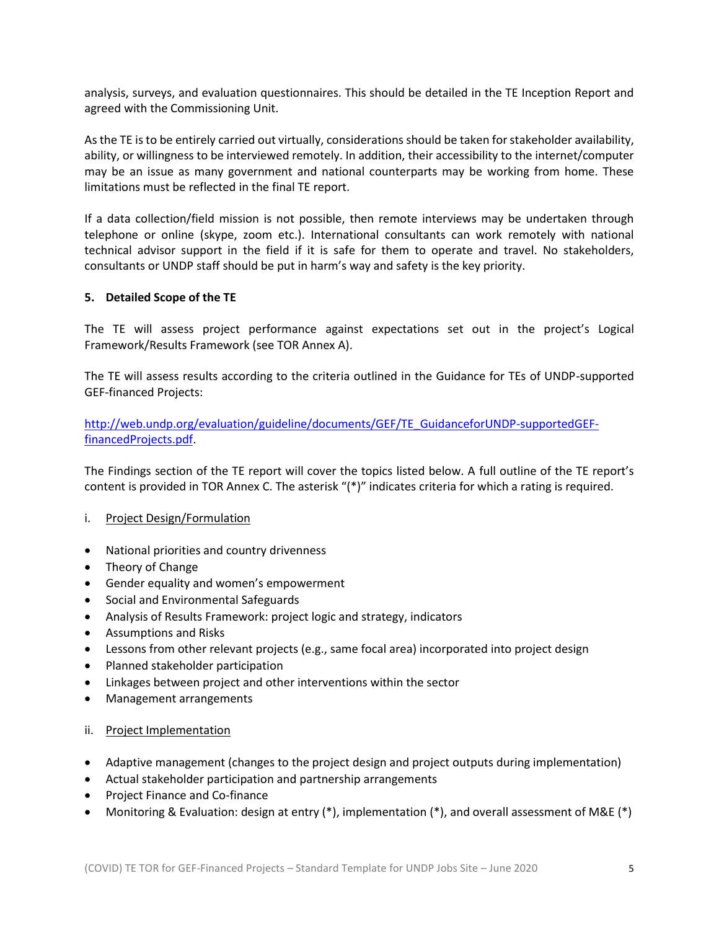analysis, surveys, and evaluation questionnaires. This should be detailed in the TE Inception Report and agreed with the Commissioning Unit.

As the TE is to be entirely carried out virtually, considerations should be taken for stakeholder availability, ability, or willingness to be interviewed remotely. In addition, their accessibility to the internet/computer may be an issue as many government and national counterparts may be working from home. These limitations must be reflected in the final TE report.

If a data collection/field mission is not possible, then remote interviews may be undertaken through telephone or online (skype, zoom etc.). International consultants can work remotely with national technical advisor support in the field if it is safe for them to operate and travel. No stakeholders, consultants or UNDP staff should be put in harm's way and safety is the key priority.

### **5. Detailed Scope of the TE**

The TE will assess project performance against expectations set out in the project's Logical Framework/Results Framework (see TOR Annex A).

The TE will assess results according to the criteria outlined in the Guidance for TEs of UNDP-supported GEF-financed Projects:

[http://web.undp.org/evaluation/guideline/documents/GEF/TE\\_GuidanceforUNDP-supportedGEF](http://web.undp.org/evaluation/guideline/documents/GEF/TE_GuidanceforUNDP-supportedGEF-financedProjects.pdf)[financedProjects.pdf.](http://web.undp.org/evaluation/guideline/documents/GEF/TE_GuidanceforUNDP-supportedGEF-financedProjects.pdf)

The Findings section of the TE report will cover the topics listed below. A full outline of the TE report's content is provided in TOR Annex C. The asterisk "(\*)" indicates criteria for which a rating is required.

- i. Project Design/Formulation
- National priorities and country drivenness
- Theory of Change
- Gender equality and women's empowerment
- Social and Environmental Safeguards
- Analysis of Results Framework: project logic and strategy, indicators
- Assumptions and Risks
- Lessons from other relevant projects (e.g., same focal area) incorporated into project design
- Planned stakeholder participation
- Linkages between project and other interventions within the sector
- Management arrangements
- ii. Project Implementation
- Adaptive management (changes to the project design and project outputs during implementation)
- Actual stakeholder participation and partnership arrangements
- Project Finance and Co-finance
- Monitoring & Evaluation: design at entry (\*), implementation (\*), and overall assessment of M&E (\*)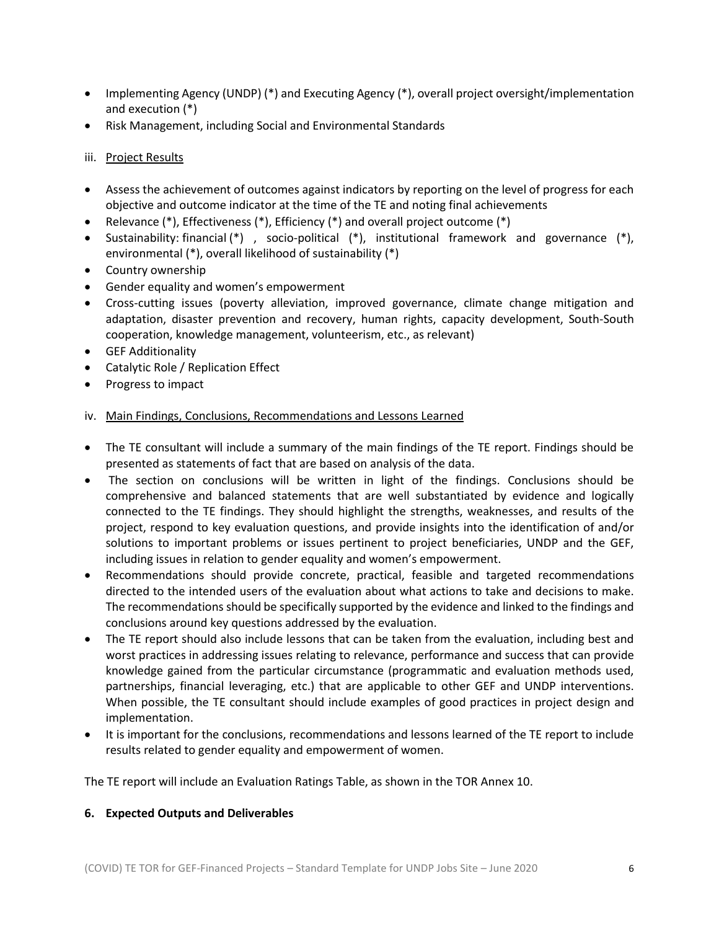- Implementing Agency (UNDP) (\*) and Executing Agency (\*), overall project oversight/implementation and execution (\*)
- Risk Management, including Social and Environmental Standards

## iii. Project Results

- Assess the achievement of outcomes against indicators by reporting on the level of progress for each objective and outcome indicator at the time of the TE and noting final achievements
- Relevance (\*), Effectiveness (\*), Efficiency (\*) and overall project outcome (\*)
- Sustainability: financial (\*) , socio-political (\*), institutional framework and governance (\*), environmental (\*), overall likelihood of sustainability (\*)
- Country ownership
- Gender equality and women's empowerment
- Cross-cutting issues (poverty alleviation, improved governance, climate change mitigation and adaptation, disaster prevention and recovery, human rights, capacity development, South-South cooperation, knowledge management, volunteerism, etc., as relevant)
- GEF Additionality
- Catalytic Role / Replication Effect
- Progress to impact

# iv. Main Findings, Conclusions, Recommendations and Lessons Learned

- The TE consultant will include a summary of the main findings of the TE report. Findings should be presented as statements of fact that are based on analysis of the data.
- The section on conclusions will be written in light of the findings. Conclusions should be comprehensive and balanced statements that are well substantiated by evidence and logically connected to the TE findings. They should highlight the strengths, weaknesses, and results of the project, respond to key evaluation questions, and provide insights into the identification of and/or solutions to important problems or issues pertinent to project beneficiaries, UNDP and the GEF, including issues in relation to gender equality and women's empowerment.
- Recommendations should provide concrete, practical, feasible and targeted recommendations directed to the intended users of the evaluation about what actions to take and decisions to make. The recommendations should be specifically supported by the evidence and linked to the findings and conclusions around key questions addressed by the evaluation.
- The TE report should also include lessons that can be taken from the evaluation, including best and worst practices in addressing issues relating to relevance, performance and success that can provide knowledge gained from the particular circumstance (programmatic and evaluation methods used, partnerships, financial leveraging, etc.) that are applicable to other GEF and UNDP interventions. When possible, the TE consultant should include examples of good practices in project design and implementation.
- It is important for the conclusions, recommendations and lessons learned of the TE report to include results related to gender equality and empowerment of women.

The TE report will include an Evaluation Ratings Table, as shown in the TOR Annex 10.

### **6. Expected Outputs and Deliverables**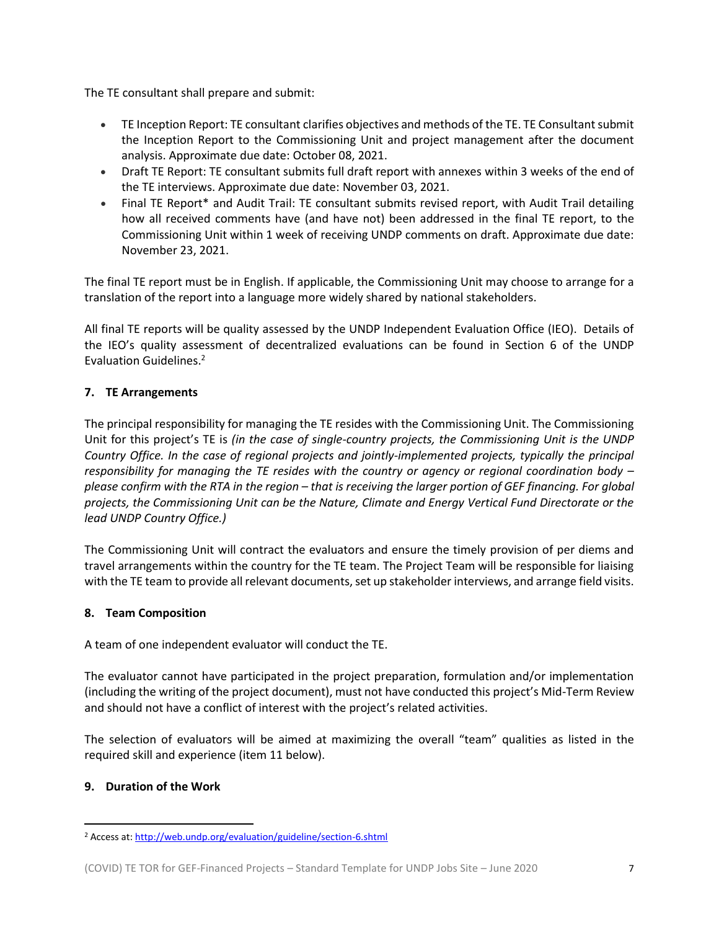The TE consultant shall prepare and submit:

- TE Inception Report: TE consultant clarifies objectives and methods of the TE. TE Consultant submit the Inception Report to the Commissioning Unit and project management after the document analysis. Approximate due date: October 08, 2021.
- Draft TE Report: TE consultant submits full draft report with annexes within 3 weeks of the end of the TE interviews. Approximate due date: November 03, 2021.
- Final TE Report\* and Audit Trail: TE consultant submits revised report, with Audit Trail detailing how all received comments have (and have not) been addressed in the final TE report, to the Commissioning Unit within 1 week of receiving UNDP comments on draft. Approximate due date: November 23, 2021.

The final TE report must be in English. If applicable, the Commissioning Unit may choose to arrange for a translation of the report into a language more widely shared by national stakeholders.

All final TE reports will be quality assessed by the UNDP Independent Evaluation Office (IEO). Details of the IEO's quality assessment of decentralized evaluations can be found in Section 6 of the UNDP Evaluation Guidelines.<sup>2</sup>

# **7. TE Arrangements**

The principal responsibility for managing the TE resides with the Commissioning Unit. The Commissioning Unit for this project's TE is *(in the case of single-country projects, the Commissioning Unit is the UNDP Country Office. In the case of regional projects and jointly-implemented projects, typically the principal responsibility for managing the TE resides with the country or agency or regional coordination body – please confirm with the RTA in the region – that is receiving the larger portion of GEF financing. For global projects, the Commissioning Unit can be the Nature, Climate and Energy Vertical Fund Directorate or the lead UNDP Country Office.)*

The Commissioning Unit will contract the evaluators and ensure the timely provision of per diems and travel arrangements within the country for the TE team. The Project Team will be responsible for liaising with the TE team to provide all relevant documents, set up stakeholder interviews, and arrange field visits.

### **8. Team Composition**

A team of one independent evaluator will conduct the TE.

The evaluator cannot have participated in the project preparation, formulation and/or implementation (including the writing of the project document), must not have conducted this project's Mid-Term Review and should not have a conflict of interest with the project's related activities.

The selection of evaluators will be aimed at maximizing the overall "team" qualities as listed in the required skill and experience (item 11 below).

### **9. Duration of the Work**

<sup>2</sup> Access at[: http://web.undp.org/evaluation/guideline/section-6.shtml](http://web.undp.org/evaluation/guideline/section-6.shtml)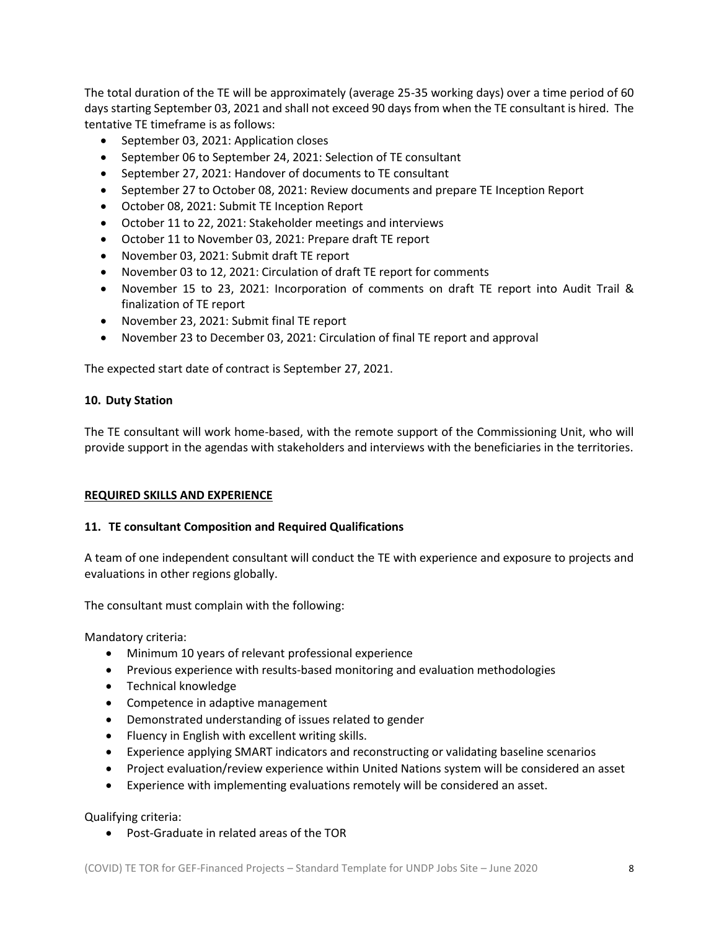The total duration of the TE will be approximately (average 25-35 working days) over a time period of 60 days starting September 03, 2021 and shall not exceed 90 days from when the TE consultant is hired. The tentative TE timeframe is as follows:

- September 03, 2021: Application closes
- September 06 to September 24, 2021: Selection of TE consultant
- September 27, 2021: Handover of documents to TE consultant
- September 27 to October 08, 2021: Review documents and prepare TE Inception Report
- October 08, 2021: Submit TE Inception Report
- October 11 to 22, 2021: Stakeholder meetings and interviews
- October 11 to November 03, 2021: Prepare draft TE report
- November 03, 2021: Submit draft TE report
- November 03 to 12, 2021: Circulation of draft TE report for comments
- November 15 to 23, 2021: Incorporation of comments on draft TE report into Audit Trail & finalization of TE report
- November 23, 2021: Submit final TE report
- November 23 to December 03, 2021: Circulation of final TE report and approval

The expected start date of contract is September 27, 2021.

### **10. Duty Station**

The TE consultant will work home-based, with the remote support of the Commissioning Unit, who will provide support in the agendas with stakeholders and interviews with the beneficiaries in the territories.

### **REQUIRED SKILLS AND EXPERIENCE**

### **11. TE consultant Composition and Required Qualifications**

A team of one independent consultant will conduct the TE with experience and exposure to projects and evaluations in other regions globally.

The consultant must complain with the following:

Mandatory criteria:

- Minimum 10 years of relevant professional experience
- Previous experience with results-based monitoring and evaluation methodologies
- Technical knowledge
- Competence in adaptive management
- Demonstrated understanding of issues related to gender
- Fluency in English with excellent writing skills.
- Experience applying SMART indicators and reconstructing or validating baseline scenarios
- Project evaluation/review experience within United Nations system will be considered an asset
- Experience with implementing evaluations remotely will be considered an asset.

Qualifying criteria:

• Post-Graduate in related areas of the TOR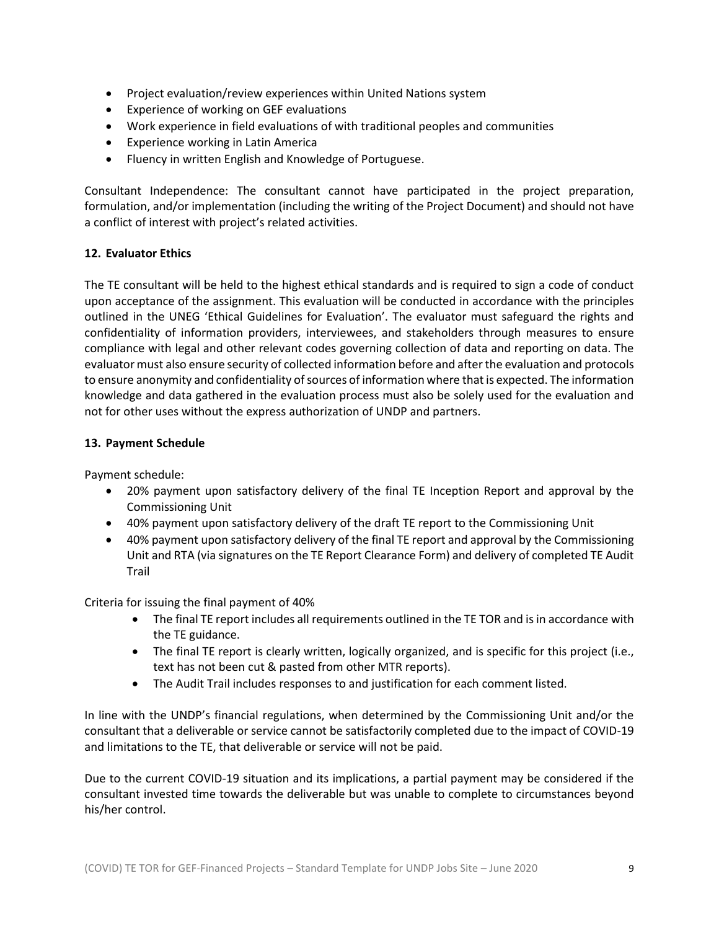- Project evaluation/review experiences within United Nations system
- Experience of working on GEF evaluations
- Work experience in field evaluations of with traditional peoples and communities
- Experience working in Latin America
- Fluency in written English and Knowledge of Portuguese.

Consultant Independence: The consultant cannot have participated in the project preparation, formulation, and/or implementation (including the writing of the Project Document) and should not have a conflict of interest with project's related activities.

### **12. Evaluator Ethics**

The TE consultant will be held to the highest ethical standards and is required to sign a code of conduct upon acceptance of the assignment. This evaluation will be conducted in accordance with the principles outlined in the UNEG 'Ethical Guidelines for Evaluation'. The evaluator must safeguard the rights and confidentiality of information providers, interviewees, and stakeholders through measures to ensure compliance with legal and other relevant codes governing collection of data and reporting on data. The evaluator must also ensure security of collected information before and after the evaluation and protocols to ensure anonymity and confidentiality of sources of information where that is expected. The information knowledge and data gathered in the evaluation process must also be solely used for the evaluation and not for other uses without the express authorization of UNDP and partners.

#### **13. Payment Schedule**

Payment schedule:

- 20% payment upon satisfactory delivery of the final TE Inception Report and approval by the Commissioning Unit
- 40% payment upon satisfactory delivery of the draft TE report to the Commissioning Unit
- 40% payment upon satisfactory delivery of the final TE report and approval by the Commissioning Unit and RTA (via signatures on the TE Report Clearance Form) and delivery of completed TE Audit Trail

Criteria for issuing the final payment of 40%

- The final TE report includes all requirements outlined in the TE TOR and is in accordance with the TE guidance.
- The final TE report is clearly written, logically organized, and is specific for this project (i.e., text has not been cut & pasted from other MTR reports).
- The Audit Trail includes responses to and justification for each comment listed.

In line with the UNDP's financial regulations, when determined by the Commissioning Unit and/or the consultant that a deliverable or service cannot be satisfactorily completed due to the impact of COVID-19 and limitations to the TE, that deliverable or service will not be paid.

Due to the current COVID-19 situation and its implications, a partial payment may be considered if the consultant invested time towards the deliverable but was unable to complete to circumstances beyond his/her control.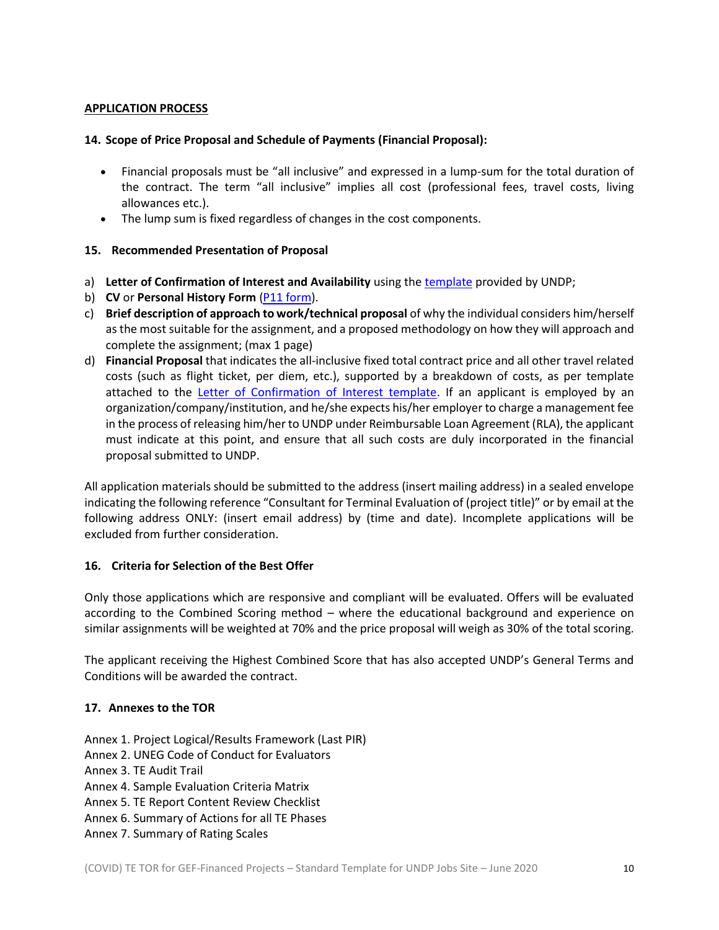### **APPLICATION PROCESS**

#### **14. Scope of Price Proposal and Schedule of Payments (Financial Proposal):**

- Financial proposals must be "all inclusive" and expressed in a lump-sum for the total duration of the contract. The term "all inclusive" implies all cost (professional fees, travel costs, living allowances etc.).
- The lump sum is fixed regardless of changes in the cost components.

### **15. Recommended Presentation of Proposal**

- a) **Letter of Confirmation of Interest and Availability** using th[e template](https://intranet.undp.org/unit/bom/pso/Support%20documents%20on%20IC%20Guidelines/Template%20for%20Confirmation%20of%20Interest%20and%20Submission%20of%20Financial%20Proposal.docx) provided by UNDP;
- b) **CV** or **Personal History Form** [\(P11 form\)](http://www.undp.org/content/dam/undp/library/corporate/Careers/P11_Personal_history_form.doc).
- c) **Brief description of approach to work/technical proposal** of why the individual considers him/herself as the most suitable for the assignment, and a proposed methodology on how they will approach and complete the assignment; (max 1 page)
- d) **Financial Proposal** that indicates the all-inclusive fixed total contract price and all other travel related costs (such as flight ticket, per diem, etc.), supported by a breakdown of costs, as per template attached to the [Letter of Confirmation of Interest template.](https://popp.undp.org/_layouts/15/WopiFrame.aspx?sourcedoc=/UNDP_POPP_DOCUMENT_LIBRARY/Public/PSU_%20Individual%20Contract_Offerors%20Letter%20to%20UNDP%20Confirming%20Interest%20and%20Availability.docx&action=default) If an applicant is employed by an organization/company/institution, and he/she expects his/her employer to charge a management fee in the process of releasing him/her to UNDP under Reimbursable Loan Agreement (RLA), the applicant must indicate at this point, and ensure that all such costs are duly incorporated in the financial proposal submitted to UNDP.

All application materials should be submitted to the address (insert mailing address) in a sealed envelope indicating the following reference "Consultant for Terminal Evaluation of (project title)" or by email at the following address ONLY: (insert email address) by (time and date). Incomplete applications will be excluded from further consideration.

### **16. Criteria for Selection of the Best Offer**

Only those applications which are responsive and compliant will be evaluated. Offers will be evaluated according to the Combined Scoring method – where the educational background and experience on similar assignments will be weighted at 70% and the price proposal will weigh as 30% of the total scoring.

The applicant receiving the Highest Combined Score that has also accepted UNDP's General Terms and Conditions will be awarded the contract.

### **17. Annexes to the TOR**

Annex 1. Project Logical/Results Framework (Last PIR)

Annex 2. UNEG Code of Conduct for Evaluators

Annex 3. TE Audit Trail

- Annex 4. Sample Evaluation Criteria Matrix
- Annex 5. TE Report Content Review Checklist
- Annex 6. Summary of Actions for all TE Phases
- Annex 7. Summary of Rating Scales